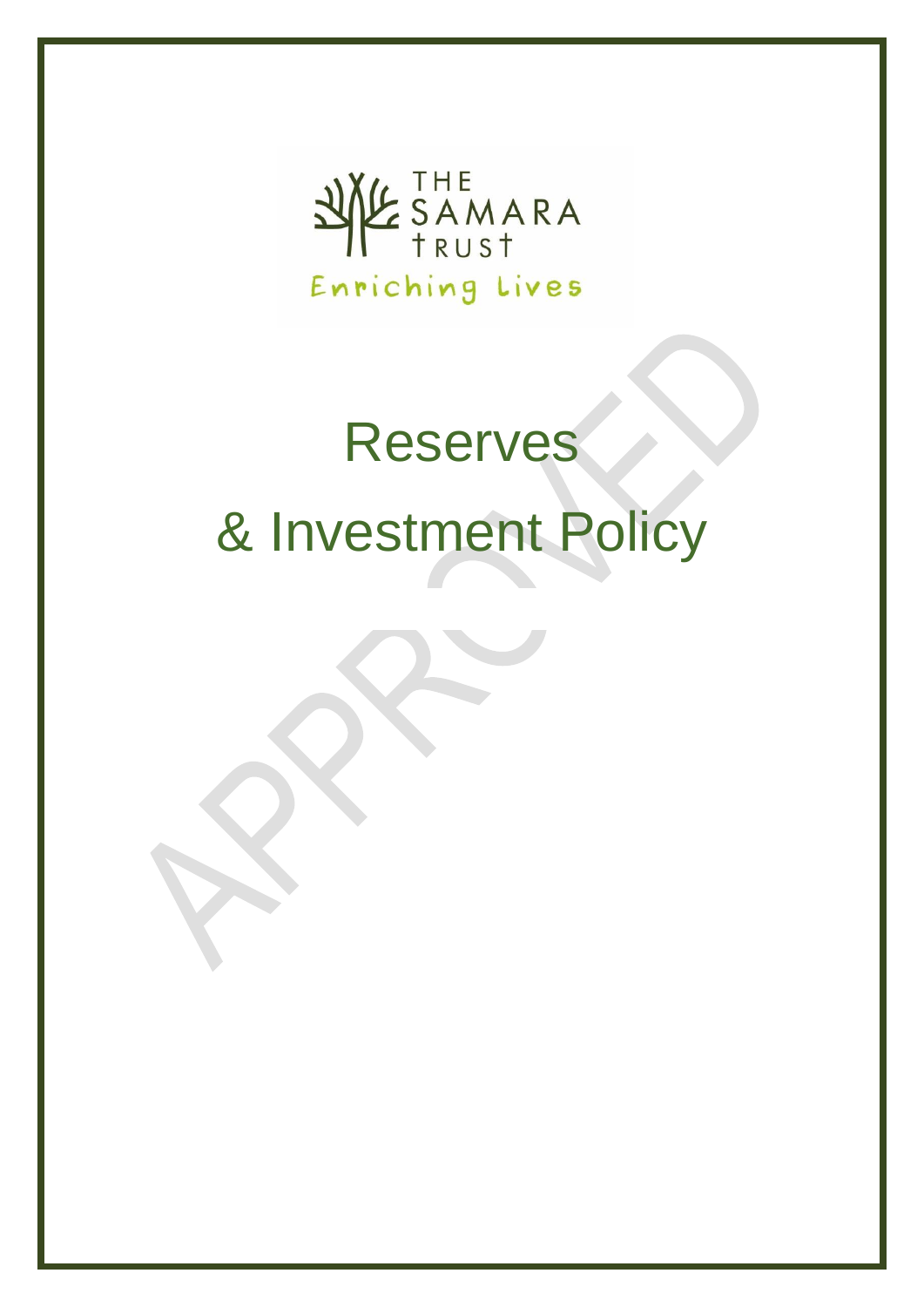

# Reserves & Investment Policy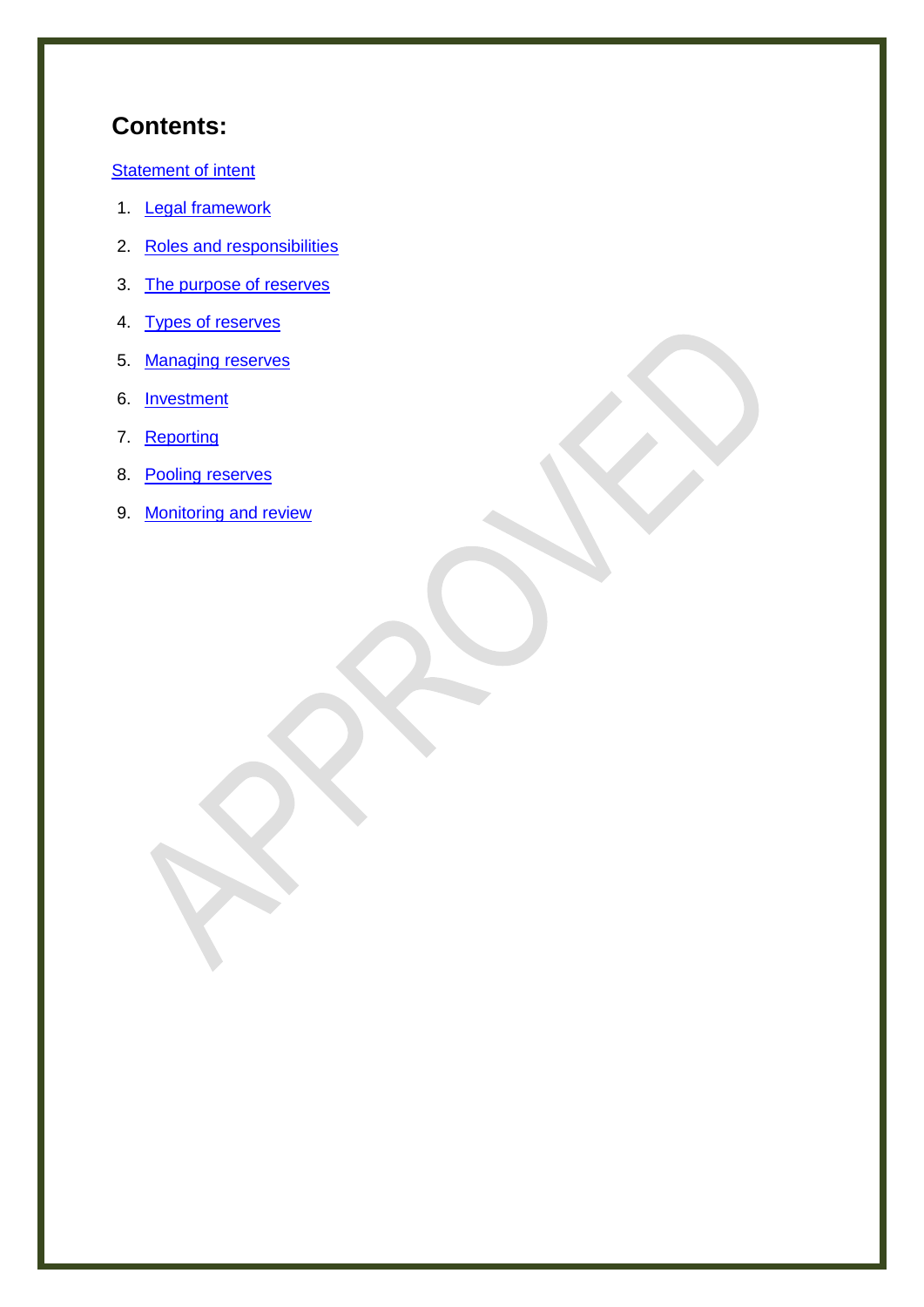# **Contents:**

**[Statement of intent](#page-2-0)** 

- 1. [Legal framework](#page-3-0)
- 2. [Roles and responsibilities](#page-3-1)
- 3. [The purpose of reserves](#page-4-0)
- 4. [Types of reserves](#page-4-1)
- 5. [Managing reserves](#page-5-0)
- 6. [Investment](#page-5-1)
- 7. [Reporting](#page-6-0)
- 8. [Pooling reserves](#page-7-0)
- 9. [Monitoring and review](#page-7-1)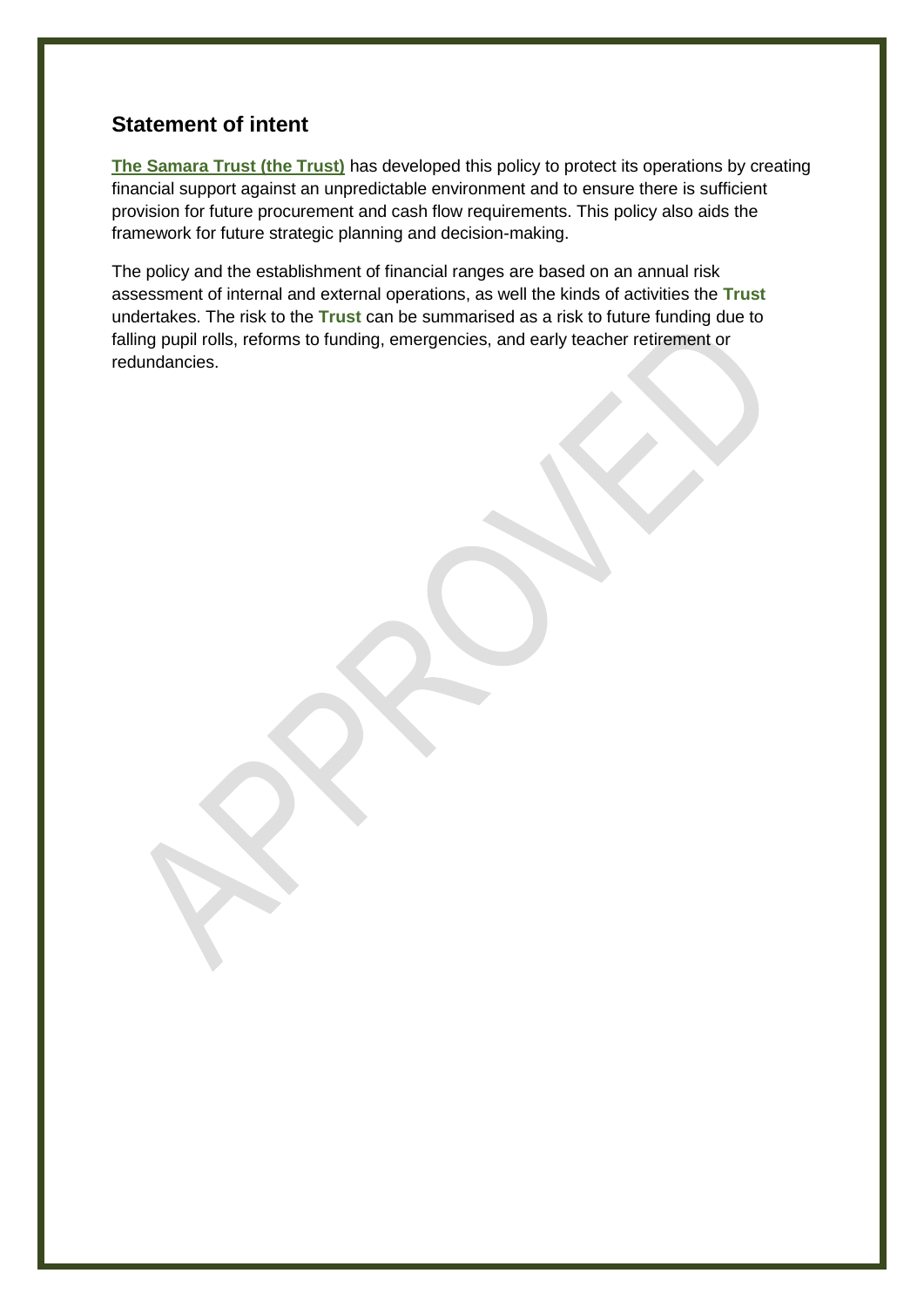# <span id="page-2-0"></span>**Statement of intent**

**The Samara Trust (the Trust)** has developed this policy to protect its operations by creating financial support against an unpredictable environment and to ensure there is sufficient provision for future procurement and cash flow requirements. This policy also aids the framework for future strategic planning and decision-making.

The policy and the establishment of financial ranges are based on an annual risk assessment of internal and external operations, as well the kinds of activities the **Trust** undertakes. The risk to the **Trust** can be summarised as a risk to future funding due to falling pupil rolls, reforms to funding, emergencies, and early teacher retirement or redundancies.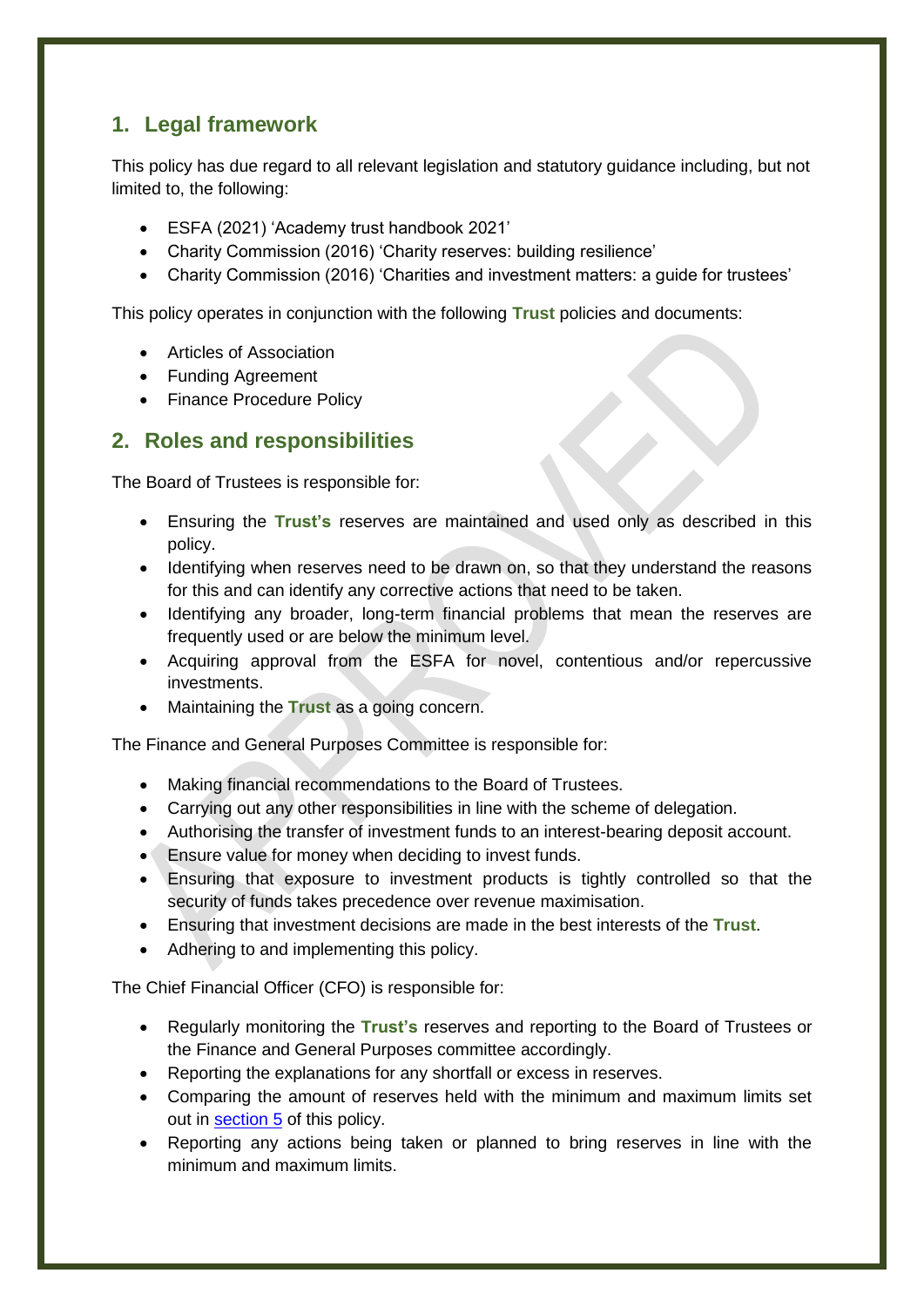# <span id="page-3-0"></span>**1. Legal framework**

This policy has due regard to all relevant legislation and statutory guidance including, but not limited to, the following:

- ESFA (2021) 'Academy trust handbook 2021'
- Charity Commission (2016) 'Charity reserves: building resilience'
- Charity Commission (2016) 'Charities and investment matters: a guide for trustees'

This policy operates in conjunction with the following **Trust** policies and documents:

- **•** Articles of Association
- Funding Agreement
- Finance Procedure Policy

# <span id="page-3-1"></span>**2. Roles and responsibilities**

The Board of Trustees is responsible for:

- Ensuring the **Trust's** reserves are maintained and used only as described in this policy.
- Identifying when reserves need to be drawn on, so that they understand the reasons for this and can identify any corrective actions that need to be taken.
- Identifying any broader, long-term financial problems that mean the reserves are frequently used or are below the minimum level.
- Acquiring approval from the ESFA for novel, contentious and/or repercussive investments.
- Maintaining the **Trust** as a going concern.

The Finance and General Purposes Committee is responsible for:

- Making financial recommendations to the Board of Trustees.
- Carrying out any other responsibilities in line with the scheme of delegation.
- Authorising the transfer of investment funds to an interest-bearing deposit account.
- Ensure value for money when deciding to invest funds.
- Ensuring that exposure to investment products is tightly controlled so that the security of funds takes precedence over revenue maximisation.
- Ensuring that investment decisions are made in the best interests of the **Trust**.
- Adhering to and implementing this policy.

The Chief Financial Officer (CFO) is responsible for:

- Regularly monitoring the **Trust's** reserves and reporting to the Board of Trustees or the Finance and General Purposes committee accordingly.
- Reporting the explanations for any shortfall or excess in reserves.
- Comparing the amount of reserves held with the minimum and maximum limits set out in [section 5](#page-5-0) of this policy.
- Reporting any actions being taken or planned to bring reserves in line with the minimum and maximum limits.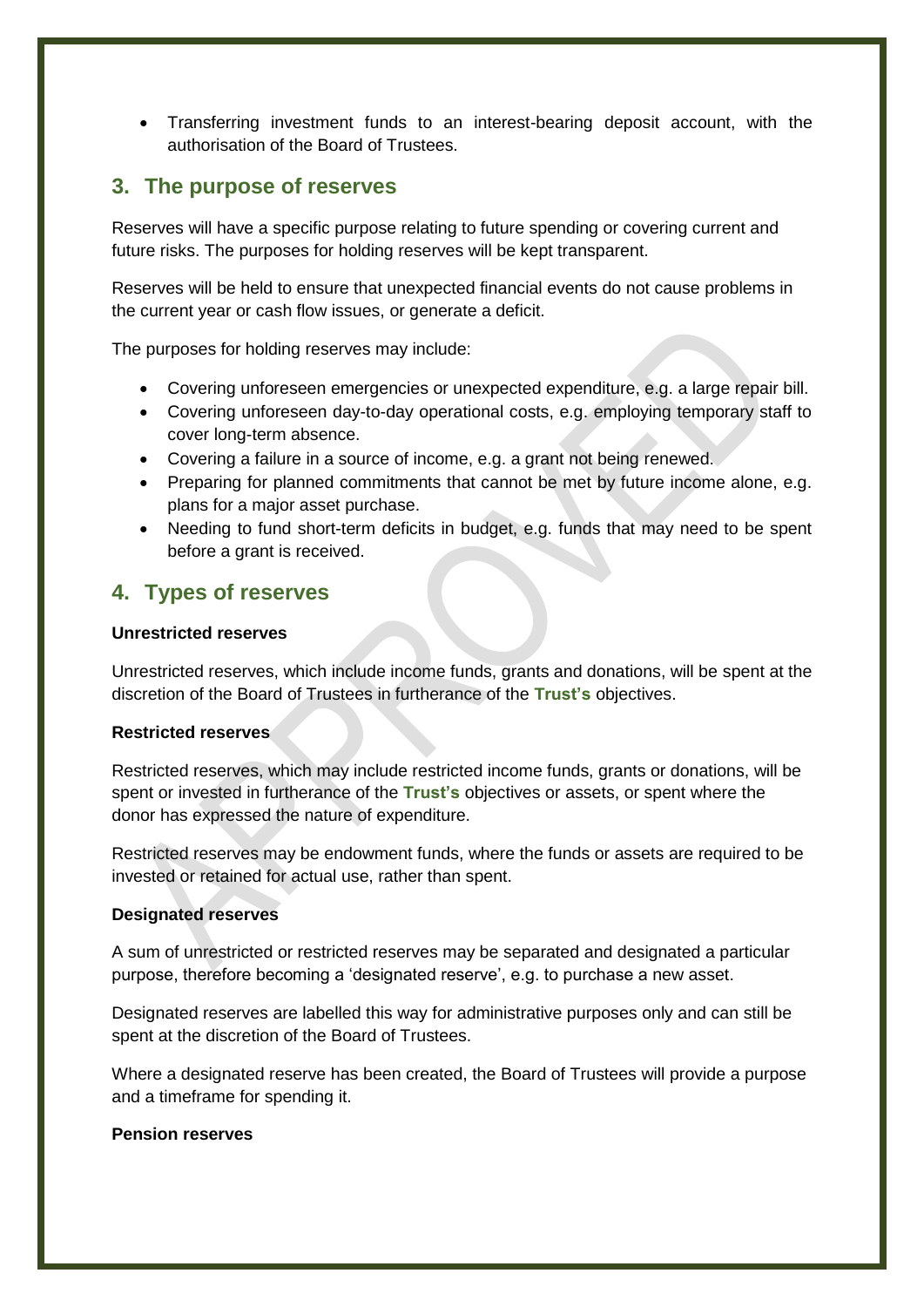Transferring investment funds to an interest-bearing deposit account, with the authorisation of the Board of Trustees.

## <span id="page-4-0"></span>**3. The purpose of reserves**

Reserves will have a specific purpose relating to future spending or covering current and future risks. The purposes for holding reserves will be kept transparent.

Reserves will be held to ensure that unexpected financial events do not cause problems in the current year or cash flow issues, or generate a deficit.

The purposes for holding reserves may include:

- Covering unforeseen emergencies or unexpected expenditure, e.g. a large repair bill.
- Covering unforeseen day-to-day operational costs, e.g. employing temporary staff to cover long-term absence.
- Covering a failure in a source of income, e.g. a grant not being renewed.
- Preparing for planned commitments that cannot be met by future income alone, e.g. plans for a major asset purchase.
- Needing to fund short-term deficits in budget, e.g. funds that may need to be spent before a grant is received.

## <span id="page-4-1"></span>**4. Types of reserves**

#### **Unrestricted reserves**

Unrestricted reserves, which include income funds, grants and donations, will be spent at the discretion of the Board of Trustees in furtherance of the **Trust's** objectives.

#### **Restricted reserves**

Restricted reserves, which may include restricted income funds, grants or donations, will be spent or invested in furtherance of the **Trust's** objectives or assets, or spent where the donor has expressed the nature of expenditure.

Restricted reserves may be endowment funds, where the funds or assets are required to be invested or retained for actual use, rather than spent.

#### **Designated reserves**

A sum of unrestricted or restricted reserves may be separated and designated a particular purpose, therefore becoming a 'designated reserve', e.g. to purchase a new asset.

Designated reserves are labelled this way for administrative purposes only and can still be spent at the discretion of the Board of Trustees.

Where a designated reserve has been created, the Board of Trustees will provide a purpose and a timeframe for spending it.

#### **Pension reserves**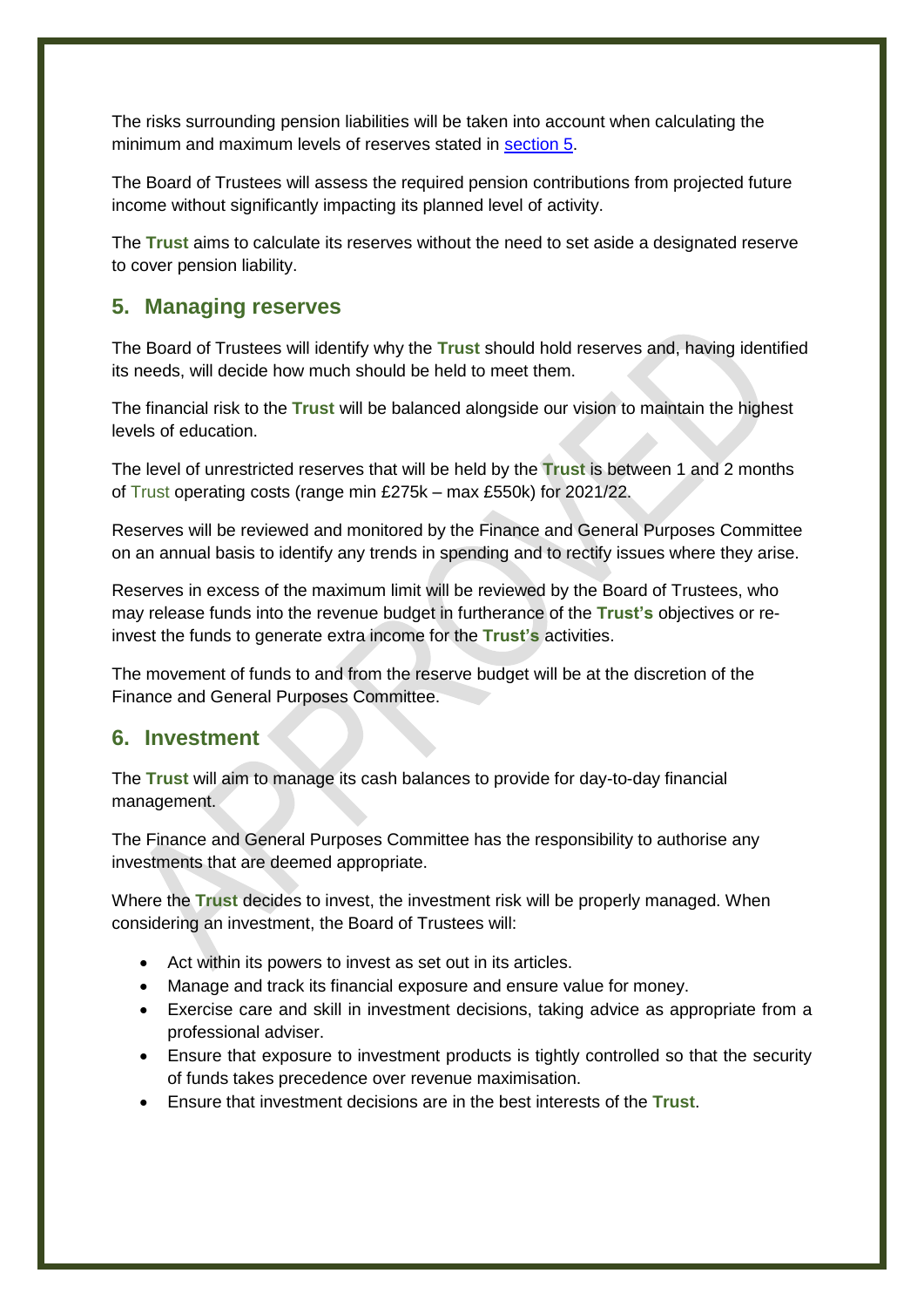The risks surrounding pension liabilities will be taken into account when calculating the minimum and maximum levels of reserves stated in [section 5.](#page-5-0)

The Board of Trustees will assess the required pension contributions from projected future income without significantly impacting its planned level of activity.

The **Trust** aims to calculate its reserves without the need to set aside a designated reserve to cover pension liability.

# <span id="page-5-0"></span>**5. Managing reserves**

The Board of Trustees will identify why the **Trust** should hold reserves and, having identified its needs, will decide how much should be held to meet them.

The financial risk to the **Trust** will be balanced alongside our vision to maintain the highest levels of education.

The level of unrestricted reserves that will be held by the **Trust** is between 1 and 2 months of Trust operating costs (range min £275k – max £550k) for 2021/22.

Reserves will be reviewed and monitored by the Finance and General Purposes Committee on an annual basis to identify any trends in spending and to rectify issues where they arise.

Reserves in excess of the maximum limit will be reviewed by the Board of Trustees, who may release funds into the revenue budget in furtherance of the **Trust's** objectives or reinvest the funds to generate extra income for the **Trust's** activities.

The movement of funds to and from the reserve budget will be at the discretion of the Finance and General Purposes Committee.

# <span id="page-5-1"></span>**6. Investment**

The **Trust** will aim to manage its cash balances to provide for day-to-day financial management.

The Finance and General Purposes Committee has the responsibility to authorise any investments that are deemed appropriate.

Where the **Trust** decides to invest, the investment risk will be properly managed. When considering an investment, the Board of Trustees will:

- Act within its powers to invest as set out in its articles.
- Manage and track its financial exposure and ensure value for money.
- Exercise care and skill in investment decisions, taking advice as appropriate from a professional adviser.
- Ensure that exposure to investment products is tightly controlled so that the security of funds takes precedence over revenue maximisation.
- Ensure that investment decisions are in the best interests of the **Trust**.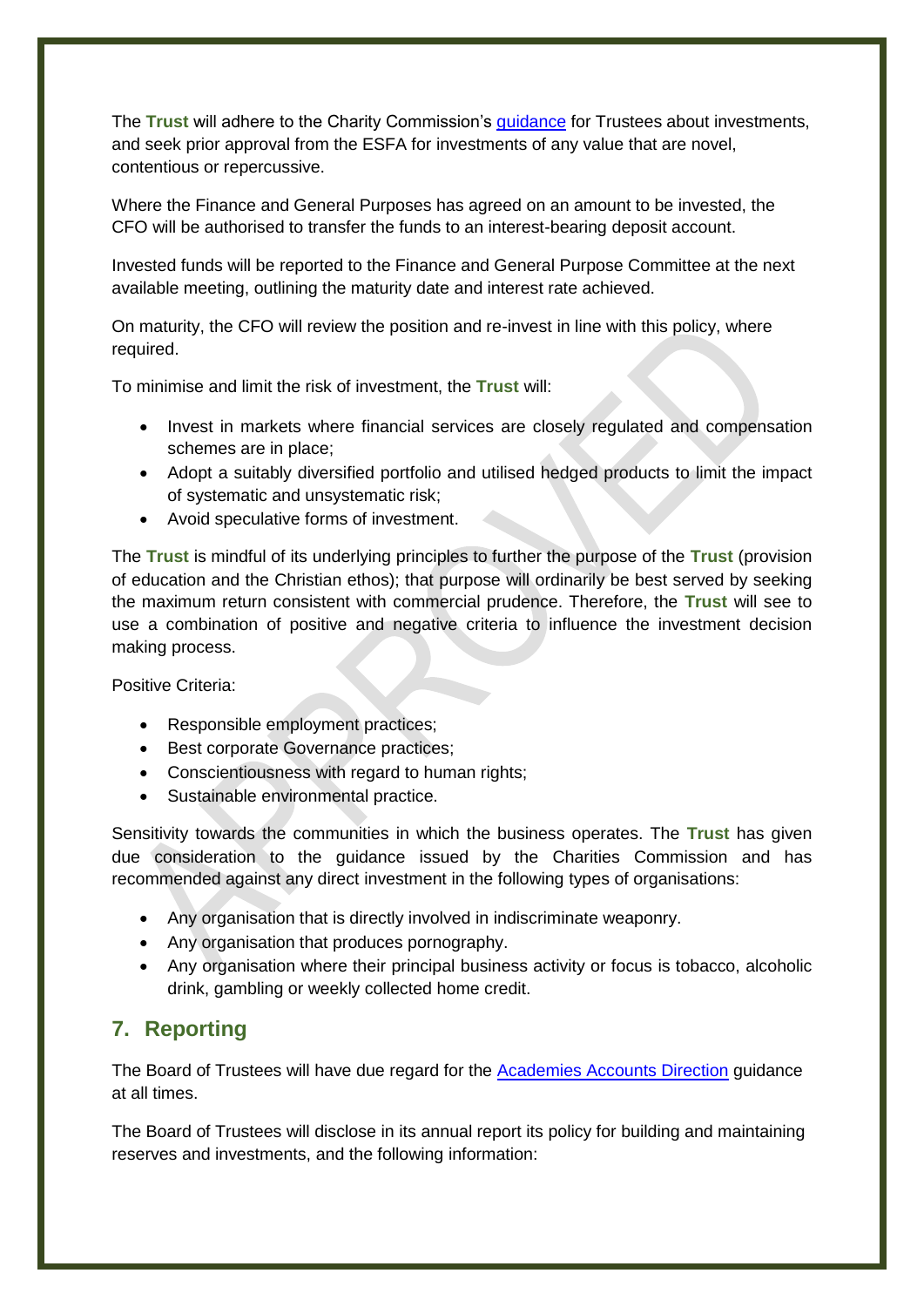The **Trust** will adhere to the Charity Commission's [guidance](https://www.gov.uk/government/publications/charities-and-investment-matters-a-guide-for-trustees-cc14) for Trustees about investments, and seek prior approval from the ESFA for investments of any value that are novel, contentious or repercussive.

Where the Finance and General Purposes has agreed on an amount to be invested, the CFO will be authorised to transfer the funds to an interest-bearing deposit account.

Invested funds will be reported to the Finance and General Purpose Committee at the next available meeting, outlining the maturity date and interest rate achieved.

On maturity, the CFO will review the position and re-invest in line with this policy, where required.

To minimise and limit the risk of investment, the **Trust** will:

- Invest in markets where financial services are closely regulated and compensation schemes are in place;
- Adopt a suitably diversified portfolio and utilised hedged products to limit the impact of systematic and unsystematic risk;
- Avoid speculative forms of investment.

The **Trust** is mindful of its underlying principles to further the purpose of the **Trust** (provision of education and the Christian ethos); that purpose will ordinarily be best served by seeking the maximum return consistent with commercial prudence. Therefore, the **Trust** will see to use a combination of positive and negative criteria to influence the investment decision making process.

Positive Criteria:

- Responsible employment practices;
- **Best corporate Governance practices;**
- Conscientiousness with regard to human rights;
- Sustainable environmental practice.

Sensitivity towards the communities in which the business operates. The **Trust** has given due consideration to the guidance issued by the Charities Commission and has recommended against any direct investment in the following types of organisations:

- Any organisation that is directly involved in indiscriminate weaponry.
- Any organisation that produces pornography.
- Any organisation where their principal business activity or focus is tobacco, alcoholic drink, gambling or weekly collected home credit.

# <span id="page-6-0"></span>**7. Reporting**

The Board of Trustees will have due regard for the [Academies Accounts Direction](https://www.gov.uk/guidance/academies-accounts-direction) guidance at all times.

The Board of Trustees will disclose in its annual report its policy for building and maintaining reserves and investments, and the following information: